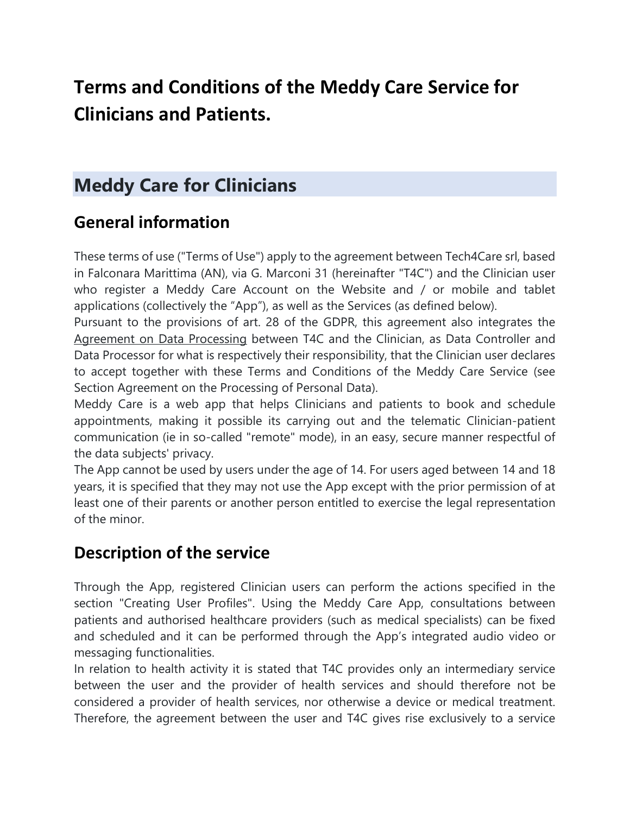# **Terms and Conditions of the Meddy Care Service for Clinicians and Patients.**

## **Meddy Care for Clinicians**

## **General information**

These terms of use ("Terms of Use") apply to the agreement between Tech4Care srl, based in Falconara Marittima (AN), via G. Marconi 31 (hereinafter "T4C") and the Clinician user who register a Meddy Care Account on the Website and / or mobile and tablet applications (collectively the "App"), as well as the Services (as defined below).

Pursuant to the provisions of art. 28 of the GDPR, this agreement also integrates the Agreement on Data Processing between T4C and the Clinician, as Data Controller and Data Processor for what is respectively their responsibility, that the Clinician user declares to accept together with these Terms and Conditions of the Meddy Care Service (see Section Agreement on the Processing of Personal Data).

Meddy Care is a web app that helps Clinicians and patients to book and schedule appointments, making it possible its carrying out and the telematic Clinician-patient communication (ie in so-called "remote" mode), in an easy, secure manner respectful of the data subjects' privacy.

The App cannot be used by users under the age of 14. For users aged between 14 and 18 years, it is specified that they may not use the App except with the prior permission of at least one of their parents or another person entitled to exercise the legal representation of the minor.

### **Description of the service**

Through the App, registered Clinician users can perform the actions specified in the section "Creating User Profiles". Using the Meddy Care App, consultations between patients and authorised healthcare providers (such as medical specialists) can be fixed and scheduled and it can be performed through the App's integrated audio video or messaging functionalities.

In relation to health activity it is stated that T4C provides only an intermediary service between the user and the provider of health services and should therefore not be considered a provider of health services, nor otherwise a device or medical treatment. Therefore, the agreement between the user and T4C gives rise exclusively to a service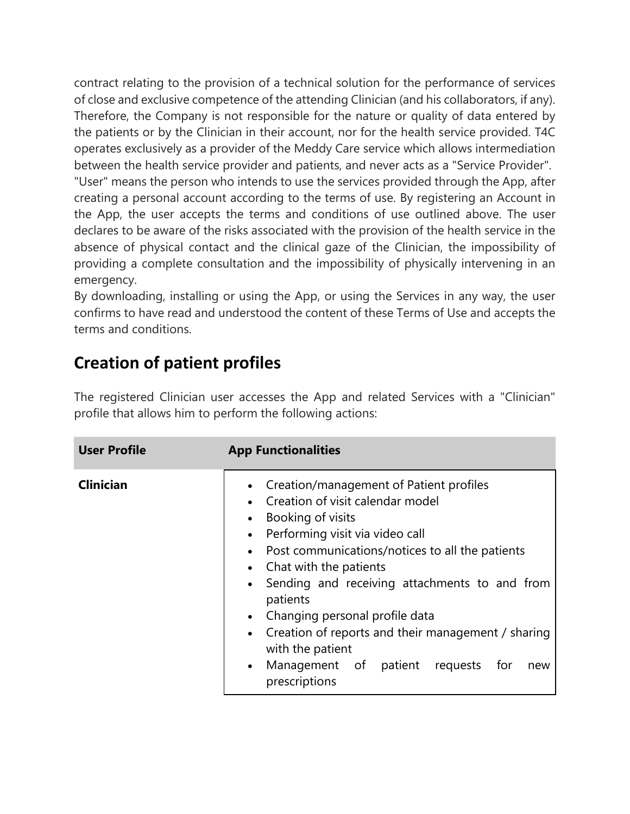contract relating to the provision of a technical solution for the performance of services of close and exclusive competence of the attending Clinician (and his collaborators, if any). Therefore, the Company is not responsible for the nature or quality of data entered by the patients or by the Clinician in their account, nor for the health service provided. T4C operates exclusively as a provider of the Meddy Care service which allows intermediation between the health service provider and patients, and never acts as a "Service Provider". "User" means the person who intends to use the services provided through the App, after creating a personal account according to the terms of use. By registering an Account in the App, the user accepts the terms and conditions of use outlined above. The user declares to be aware of the risks associated with the provision of the health service in the absence of physical contact and the clinical gaze of the Clinician, the impossibility of providing a complete consultation and the impossibility of physically intervening in an emergency.

By downloading, installing or using the App, or using the Services in any way, the user confirms to have read and understood the content of these Terms of Use and accepts the terms and conditions.

## **Creation of patient profiles**

The registered Clinician user accesses the App and related Services with a "Clinician" profile that allows him to perform the following actions:

| <b>User Profile</b> | <b>App Functionalities</b>                                                                                                                                                                                                                                                                                                                                                                                                                                                                                                                                                        |
|---------------------|-----------------------------------------------------------------------------------------------------------------------------------------------------------------------------------------------------------------------------------------------------------------------------------------------------------------------------------------------------------------------------------------------------------------------------------------------------------------------------------------------------------------------------------------------------------------------------------|
| <b>Clinician</b>    | Creation/management of Patient profiles<br>$\bullet$<br>Creation of visit calendar model<br>$\bullet$<br>Booking of visits<br>$\bullet$<br>Performing visit via video call<br>$\bullet$<br>• Post communications/notices to all the patients<br>Chat with the patients<br>$\bullet$<br>Sending and receiving attachments to and from<br>$\bullet$<br>patients<br>Changing personal profile data<br>$\bullet$<br>Creation of reports and their management / sharing<br>$\bullet$<br>with the patient<br>Management of patient requests<br>for<br>$\bullet$<br>new<br>prescriptions |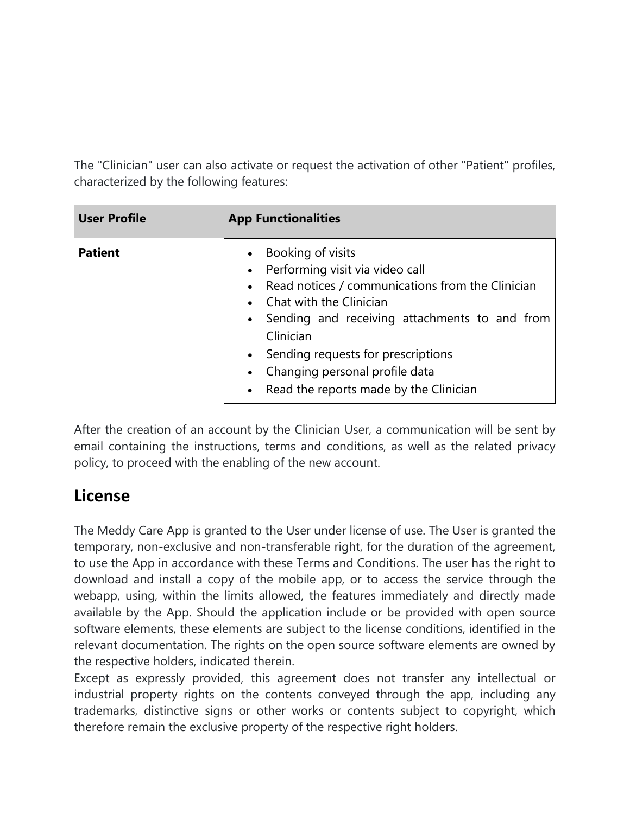The "Clinician" user can also activate or request the activation of other "Patient" profiles, characterized by the following features:

| <b>User Profile</b> | <b>App Functionalities</b>                                                                                                                                                                                                                                                                                                                   |
|---------------------|----------------------------------------------------------------------------------------------------------------------------------------------------------------------------------------------------------------------------------------------------------------------------------------------------------------------------------------------|
| <b>Patient</b>      | Booking of visits<br>• Performing visit via video call<br>• Read notices / communications from the Clinician<br>• Chat with the Clinician<br>• Sending and receiving attachments to and from<br>Clinician<br>• Sending requests for prescriptions<br>Changing personal profile data<br>$\bullet$<br>• Read the reports made by the Clinician |

After the creation of an account by the Clinician User, a communication will be sent by email containing the instructions, terms and conditions, as well as the related privacy policy, to proceed with the enabling of the new account.

### **License**

The Meddy Care App is granted to the User under license of use. The User is granted the temporary, non-exclusive and non-transferable right, for the duration of the agreement, to use the App in accordance with these Terms and Conditions. The user has the right to download and install a copy of the mobile app, or to access the service through the webapp, using, within the limits allowed, the features immediately and directly made available by the App. Should the application include or be provided with open source software elements, these elements are subject to the license conditions, identified in the relevant documentation. The rights on the open source software elements are owned by the respective holders, indicated therein.

Except as expressly provided, this agreement does not transfer any intellectual or industrial property rights on the contents conveyed through the app, including any trademarks, distinctive signs or other works or contents subject to copyright, which therefore remain the exclusive property of the respective right holders.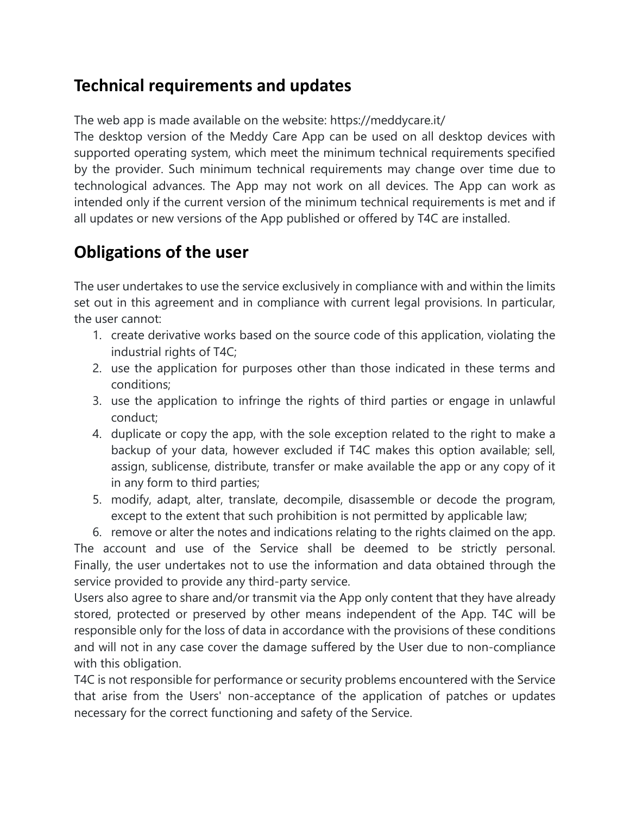## **Technical requirements and updates**

The web app is made available on the website: https://meddycare.it/

The desktop version of the Meddy Care App can be used on all desktop devices with supported operating system, which meet the minimum technical requirements specified by the provider. Such minimum technical requirements may change over time due to technological advances. The App may not work on all devices. The App can work as intended only if the current version of the minimum technical requirements is met and if all updates or new versions of the App published or offered by T4C are installed.

## **Obligations of the user**

The user undertakes to use the service exclusively in compliance with and within the limits set out in this agreement and in compliance with current legal provisions. In particular, the user cannot:

- 1. create derivative works based on the source code of this application, violating the industrial rights of T4C;
- 2. use the application for purposes other than those indicated in these terms and conditions;
- 3. use the application to infringe the rights of third parties or engage in unlawful conduct;
- 4. duplicate or copy the app, with the sole exception related to the right to make a backup of your data, however excluded if T4C makes this option available; sell, assign, sublicense, distribute, transfer or make available the app or any copy of it in any form to third parties;
- 5. modify, adapt, alter, translate, decompile, disassemble or decode the program, except to the extent that such prohibition is not permitted by applicable law;

6. remove or alter the notes and indications relating to the rights claimed on the app. The account and use of the Service shall be deemed to be strictly personal. Finally, the user undertakes not to use the information and data obtained through the service provided to provide any third-party service.

Users also agree to share and/or transmit via the App only content that they have already stored, protected or preserved by other means independent of the App. T4C will be responsible only for the loss of data in accordance with the provisions of these conditions and will not in any case cover the damage suffered by the User due to non-compliance with this obligation.

T4C is not responsible for performance or security problems encountered with the Service that arise from the Users' non-acceptance of the application of patches or updates necessary for the correct functioning and safety of the Service.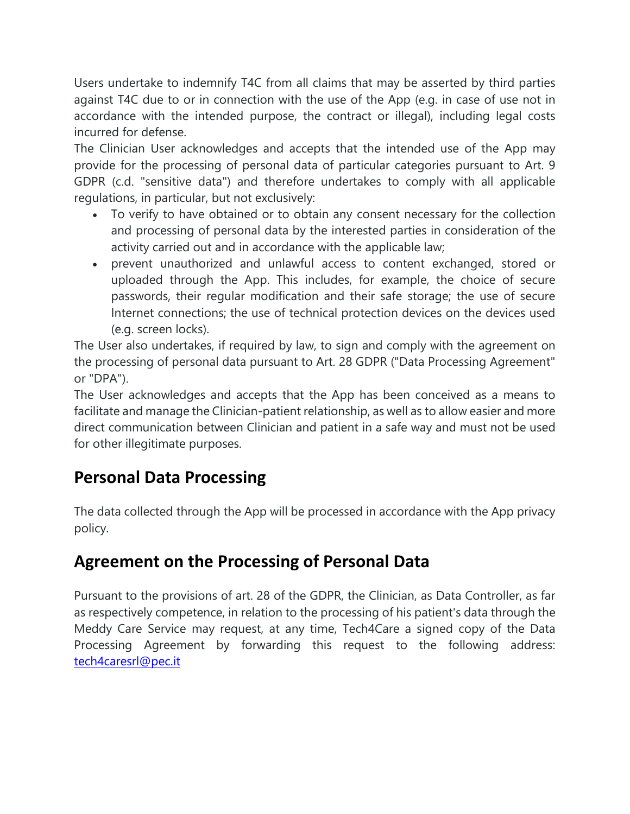Users undertake to indemnify T4C from all claims that may be asserted by third parties against T4C due to or in connection with the use of the App (e.g. in case of use not in accordance with the intended purpose, the contract or illegal), including legal costs incurred for defense.

The Clinician User acknowledges and accepts that the intended use of the App may provide for the processing of personal data of particular categories pursuant to Art. 9 GDPR (c.d. "sensitive data") and therefore undertakes to comply with all applicable regulations, in particular, but not exclusively:

- To verify to have obtained or to obtain any consent necessary for the collection and processing of personal data by the interested parties in consideration of the activity carried out and in accordance with the applicable law;
- prevent unauthorized and unlawful access to content exchanged, stored or uploaded through the App. This includes, for example, the choice of secure passwords, their regular modification and their safe storage; the use of secure Internet connections; the use of technical protection devices on the devices used (e.g. screen locks).

The User also undertakes, if required by law, to sign and comply with the agreement on the processing of personal data pursuant to Art. 28 GDPR ("Data Processing Agreement" or "DPA").

The User acknowledges and accepts that the App has been conceived as a means to facilitate and manage the Clinician-patient relationship, as well as to allow easier and more direct communication between Clinician and patient in a safe way and must not be used for other illegitimate purposes.

## **Personal Data Processing**

The data collected through the App will be processed in accordance with the App privacy policy.

## **Agreement on the Processing of Personal Data**

Pursuant to the provisions of art. 28 of the GDPR, the Clinician, as Data Controller, as far as respectively competence, in relation to the processing of his patient's data through the Meddy Care Service may request, at any time, Tech4Care a signed copy of the Data Processing Agreement by forwarding this request to the following address: [tech4caresrl@pec.it](mailto:tech4caresrl@pec.it)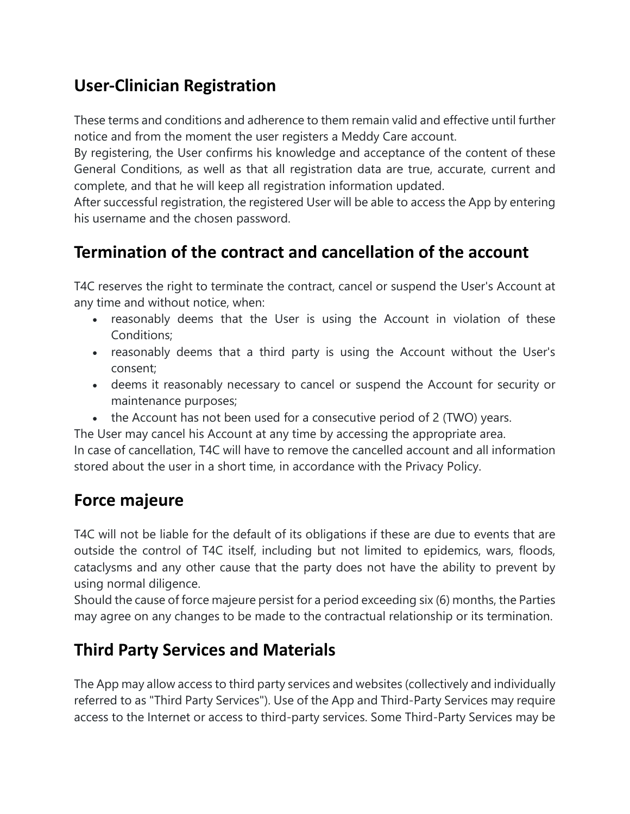## **User-Clinician Registration**

These terms and conditions and adherence to them remain valid and effective until further notice and from the moment the user registers a Meddy Care account.

By registering, the User confirms his knowledge and acceptance of the content of these General Conditions, as well as that all registration data are true, accurate, current and complete, and that he will keep all registration information updated.

After successful registration, the registered User will be able to access the App by entering his username and the chosen password.

## **Termination of the contract and cancellation of the account**

T4C reserves the right to terminate the contract, cancel or suspend the User's Account at any time and without notice, when:

- reasonably deems that the User is using the Account in violation of these Conditions;
- reasonably deems that a third party is using the Account without the User's consent;
- deems it reasonably necessary to cancel or suspend the Account for security or maintenance purposes;
- the Account has not been used for a consecutive period of 2 (TWO) years.

The User may cancel his Account at any time by accessing the appropriate area.

In case of cancellation, T4C will have to remove the cancelled account and all information stored about the user in a short time, in accordance with the Privacy Policy.

## **Force majeure**

T4C will not be liable for the default of its obligations if these are due to events that are outside the control of T4C itself, including but not limited to epidemics, wars, floods, cataclysms and any other cause that the party does not have the ability to prevent by using normal diligence.

Should the cause of force majeure persist for a period exceeding six (6) months, the Parties may agree on any changes to be made to the contractual relationship or its termination.

## **Third Party Services and Materials**

The App may allow access to third party services and websites (collectively and individually referred to as "Third Party Services"). Use of the App and Third-Party Services may require access to the Internet or access to third-party services. Some Third-Party Services may be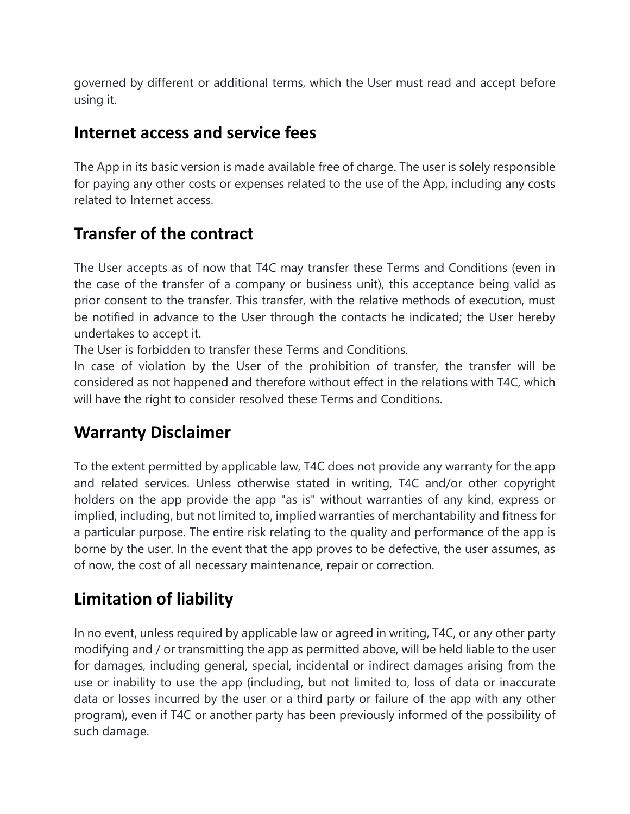governed by different or additional terms, which the User must read and accept before using it.

#### **Internet access and service fees**

The App in its basic version is made available free of charge. The user is solely responsible for paying any other costs or expenses related to the use of the App, including any costs related to Internet access.

## **Transfer of the contract**

The User accepts as of now that T4C may transfer these Terms and Conditions (even in the case of the transfer of a company or business unit), this acceptance being valid as prior consent to the transfer. This transfer, with the relative methods of execution, must be notified in advance to the User through the contacts he indicated; the User hereby undertakes to accept it.

The User is forbidden to transfer these Terms and Conditions.

In case of violation by the User of the prohibition of transfer, the transfer will be considered as not happened and therefore without effect in the relations with T4C, which will have the right to consider resolved these Terms and Conditions.

### **Warranty Disclaimer**

To the extent permitted by applicable law, T4C does not provide any warranty for the app and related services. Unless otherwise stated in writing, T4C and/or other copyright holders on the app provide the app "as is" without warranties of any kind, express or implied, including, but not limited to, implied warranties of merchantability and fitness for a particular purpose. The entire risk relating to the quality and performance of the app is borne by the user. In the event that the app proves to be defective, the user assumes, as of now, the cost of all necessary maintenance, repair or correction.

## **Limitation of liability**

In no event, unless required by applicable law or agreed in writing, T4C, or any other party modifying and / or transmitting the app as permitted above, will be held liable to the user for damages, including general, special, incidental or indirect damages arising from the use or inability to use the app (including, but not limited to, loss of data or inaccurate data or losses incurred by the user or a third party or failure of the app with any other program), even if T4C or another party has been previously informed of the possibility of such damage.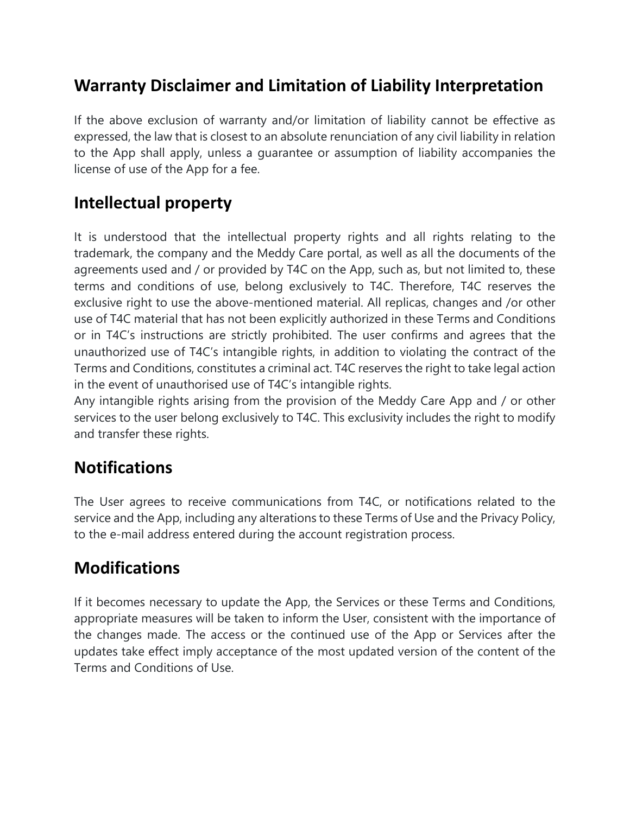## **Warranty Disclaimer and Limitation of Liability Interpretation**

If the above exclusion of warranty and/or limitation of liability cannot be effective as expressed, the law that is closest to an absolute renunciation of any civil liability in relation to the App shall apply, unless a guarantee or assumption of liability accompanies the license of use of the App for a fee.

## **Intellectual property**

It is understood that the intellectual property rights and all rights relating to the trademark, the company and the Meddy Care portal, as well as all the documents of the agreements used and / or provided by T4C on the App, such as, but not limited to, these terms and conditions of use, belong exclusively to T4C. Therefore, T4C reserves the exclusive right to use the above-mentioned material. All replicas, changes and /or other use of T4C material that has not been explicitly authorized in these Terms and Conditions or in T4C's instructions are strictly prohibited. The user confirms and agrees that the unauthorized use of T4C's intangible rights, in addition to violating the contract of the Terms and Conditions, constitutes a criminal act. T4C reserves the right to take legal action in the event of unauthorised use of T4C's intangible rights.

Any intangible rights arising from the provision of the Meddy Care App and / or other services to the user belong exclusively to T4C. This exclusivity includes the right to modify and transfer these rights.

### **Notifications**

The User agrees to receive communications from T4C, or notifications related to the service and the App, including any alterations to these Terms of Use and the Privacy Policy, to the e-mail address entered during the account registration process.

### **Modifications**

If it becomes necessary to update the App, the Services or these Terms and Conditions, appropriate measures will be taken to inform the User, consistent with the importance of the changes made. The access or the continued use of the App or Services after the updates take effect imply acceptance of the most updated version of the content of the Terms and Conditions of Use.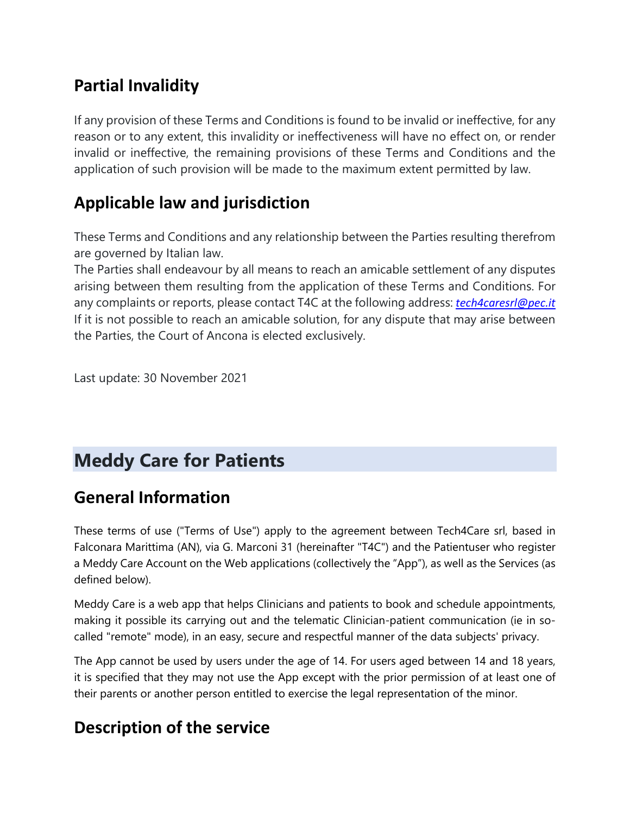## **Partial Invalidity**

If any provision of these Terms and Conditions is found to be invalid or ineffective, for any reason or to any extent, this invalidity or ineffectiveness will have no effect on, or render invalid or ineffective, the remaining provisions of these Terms and Conditions and the application of such provision will be made to the maximum extent permitted by law.

## **Applicable law and jurisdiction**

These Terms and Conditions and any relationship between the Parties resulting therefrom are governed by Italian law.

The Parties shall endeavour by all means to reach an amicable settlement of any disputes arising between them resulting from the application of these Terms and Conditions. For any complaints or reports, please contact T4C at the following address: *[tech4caresrl@pec.it](mailto:tech4caresrl@pec.it)* If it is not possible to reach an amicable solution, for any dispute that may arise between the Parties, the Court of Ancona is elected exclusively.

Last update: 30 November 2021

## **Meddy Care for Patients**

#### **General Information**

These terms of use ("Terms of Use") apply to the agreement between Tech4Care srl, based in Falconara Marittima (AN), via G. Marconi 31 (hereinafter "T4C") and the Patientuser who register a Meddy Care Account on the Web applications (collectively the "App"), as well as the Services (as defined below).

Meddy Care is a web app that helps Clinicians and patients to book and schedule appointments, making it possible its carrying out and the telematic Clinician-patient communication (ie in socalled "remote" mode), in an easy, secure and respectful manner of the data subjects' privacy.

The App cannot be used by users under the age of 14. For users aged between 14 and 18 years, it is specified that they may not use the App except with the prior permission of at least one of their parents or another person entitled to exercise the legal representation of the minor.

#### **Description of the service**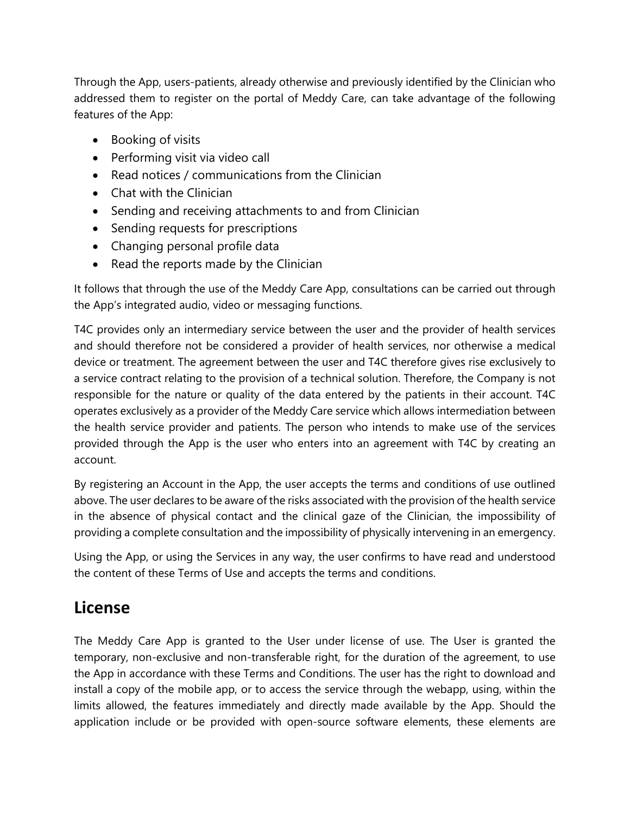Through the App, users-patients, already otherwise and previously identified by the Clinician who addressed them to register on the portal of Meddy Care, can take advantage of the following features of the App:

- Booking of visits
- Performing visit via video call
- Read notices / communications from the Clinician
- Chat with the Clinician
- Sending and receiving attachments to and from Clinician
- Sending requests for prescriptions
- Changing personal profile data
- Read the reports made by the Clinician

It follows that through the use of the Meddy Care App, consultations can be carried out through the App's integrated audio, video or messaging functions.

T4C provides only an intermediary service between the user and the provider of health services and should therefore not be considered a provider of health services, nor otherwise a medical device or treatment. The agreement between the user and T4C therefore gives rise exclusively to a service contract relating to the provision of a technical solution. Therefore, the Company is not responsible for the nature or quality of the data entered by the patients in their account. T4C operates exclusively as a provider of the Meddy Care service which allows intermediation between the health service provider and patients. The person who intends to make use of the services provided through the App is the user who enters into an agreement with T4C by creating an account.

By registering an Account in the App, the user accepts the terms and conditions of use outlined above. The user declares to be aware of the risks associated with the provision of the health service in the absence of physical contact and the clinical gaze of the Clinician, the impossibility of providing a complete consultation and the impossibility of physically intervening in an emergency.

Using the App, or using the Services in any way, the user confirms to have read and understood the content of these Terms of Use and accepts the terms and conditions.

### **License**

The Meddy Care App is granted to the User under license of use. The User is granted the temporary, non-exclusive and non-transferable right, for the duration of the agreement, to use the App in accordance with these Terms and Conditions. The user has the right to download and install a copy of the mobile app, or to access the service through the webapp, using, within the limits allowed, the features immediately and directly made available by the App. Should the application include or be provided with open-source software elements, these elements are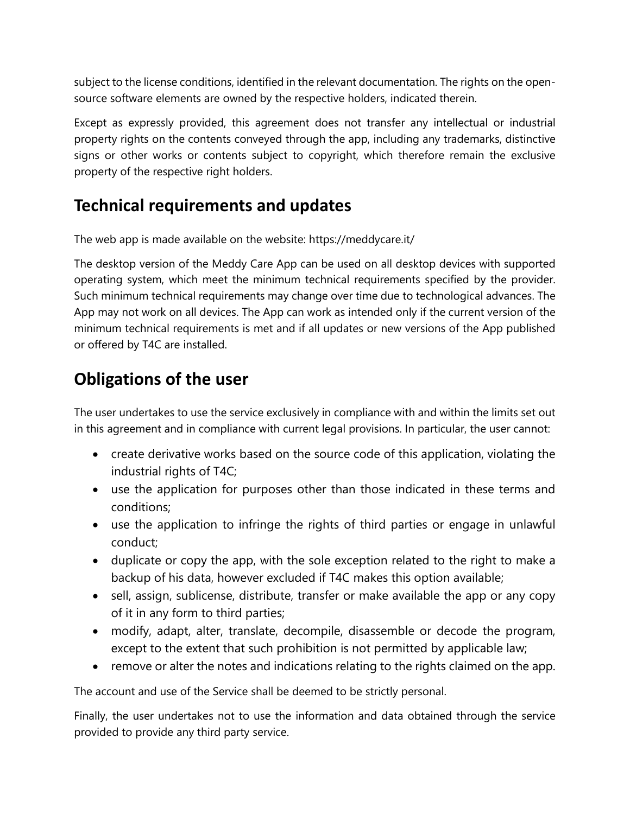subject to the license conditions, identified in the relevant documentation. The rights on the opensource software elements are owned by the respective holders, indicated therein.

Except as expressly provided, this agreement does not transfer any intellectual or industrial property rights on the contents conveyed through the app, including any trademarks, distinctive signs or other works or contents subject to copyright, which therefore remain the exclusive property of the respective right holders.

## **Technical requirements and updates**

The web app is made available on the website: https://meddycare.it/

The desktop version of the Meddy Care App can be used on all desktop devices with supported operating system, which meet the minimum technical requirements specified by the provider. Such minimum technical requirements may change over time due to technological advances. The App may not work on all devices. The App can work as intended only if the current version of the minimum technical requirements is met and if all updates or new versions of the App published or offered by T4C are installed.

## **Obligations of the user**

The user undertakes to use the service exclusively in compliance with and within the limits set out in this agreement and in compliance with current legal provisions. In particular, the user cannot:

- create derivative works based on the source code of this application, violating the industrial rights of T4C;
- use the application for purposes other than those indicated in these terms and conditions;
- use the application to infringe the rights of third parties or engage in unlawful conduct;
- duplicate or copy the app, with the sole exception related to the right to make a backup of his data, however excluded if T4C makes this option available;
- sell, assign, sublicense, distribute, transfer or make available the app or any copy of it in any form to third parties;
- modify, adapt, alter, translate, decompile, disassemble or decode the program, except to the extent that such prohibition is not permitted by applicable law;
- remove or alter the notes and indications relating to the rights claimed on the app.

The account and use of the Service shall be deemed to be strictly personal.

Finally, the user undertakes not to use the information and data obtained through the service provided to provide any third party service.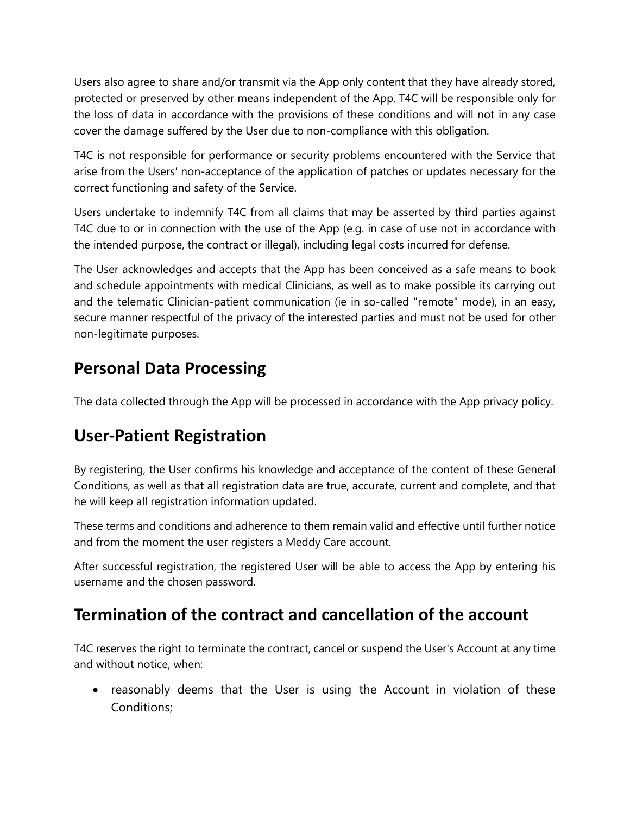Users also agree to share and/or transmit via the App only content that they have already stored, protected or preserved by other means independent of the App. T4C will be responsible only for the loss of data in accordance with the provisions of these conditions and will not in any case cover the damage suffered by the User due to non-compliance with this obligation.

T4C is not responsible for performance or security problems encountered with the Service that arise from the Users' non-acceptance of the application of patches or updates necessary for the correct functioning and safety of the Service.

Users undertake to indemnify T4C from all claims that may be asserted by third parties against T4C due to or in connection with the use of the App (e.g. in case of use not in accordance with the intended purpose, the contract or illegal), including legal costs incurred for defense.

The User acknowledges and accepts that the App has been conceived as a safe means to book and schedule appointments with medical Clinicians, as well as to make possible its carrying out and the telematic Clinician-patient communication (ie in so-called "remote" mode), in an easy, secure manner respectful of the privacy of the interested parties and must not be used for other non-legitimate purposes.

## **Personal Data Processing**

The data collected through the App will be processed in accordance with the App privacy policy.

## **User-Patient Registration**

By registering, the User confirms his knowledge and acceptance of the content of these General Conditions, as well as that all registration data are true, accurate, current and complete, and that he will keep all registration information updated.

These terms and conditions and adherence to them remain valid and effective until further notice and from the moment the user registers a Meddy Care account.

After successful registration, the registered User will be able to access the App by entering his username and the chosen password.

### **Termination of the contract and cancellation of the account**

T4C reserves the right to terminate the contract, cancel or suspend the User's Account at any time and without notice, when:

• reasonably deems that the User is using the Account in violation of these Conditions;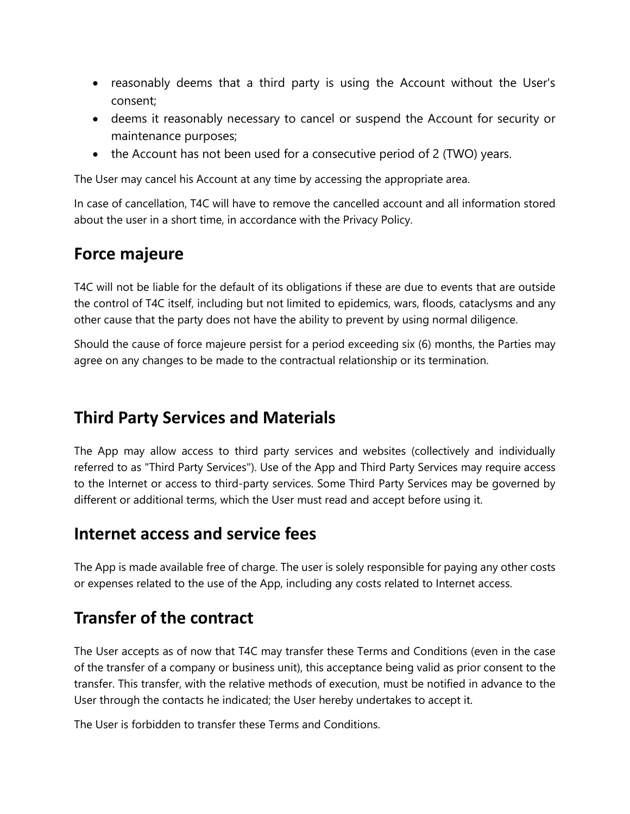- reasonably deems that a third party is using the Account without the User's consent;
- deems it reasonably necessary to cancel or suspend the Account for security or maintenance purposes;
- the Account has not been used for a consecutive period of 2 (TWO) years.

The User may cancel his Account at any time by accessing the appropriate area.

In case of cancellation, T4C will have to remove the cancelled account and all information stored about the user in a short time, in accordance with the Privacy Policy.

### **Force majeure**

T4C will not be liable for the default of its obligations if these are due to events that are outside the control of T4C itself, including but not limited to epidemics, wars, floods, cataclysms and any other cause that the party does not have the ability to prevent by using normal diligence.

Should the cause of force majeure persist for a period exceeding six (6) months, the Parties may agree on any changes to be made to the contractual relationship or its termination.

#### **Third Party Services and Materials**

The App may allow access to third party services and websites (collectively and individually referred to as "Third Party Services"). Use of the App and Third Party Services may require access to the Internet or access to third-party services. Some Third Party Services may be governed by different or additional terms, which the User must read and accept before using it.

#### **Internet access and service fees**

The App is made available free of charge. The user is solely responsible for paying any other costs or expenses related to the use of the App, including any costs related to Internet access.

#### **Transfer of the contract**

The User accepts as of now that T4C may transfer these Terms and Conditions (even in the case of the transfer of a company or business unit), this acceptance being valid as prior consent to the transfer. This transfer, with the relative methods of execution, must be notified in advance to the User through the contacts he indicated; the User hereby undertakes to accept it.

The User is forbidden to transfer these Terms and Conditions.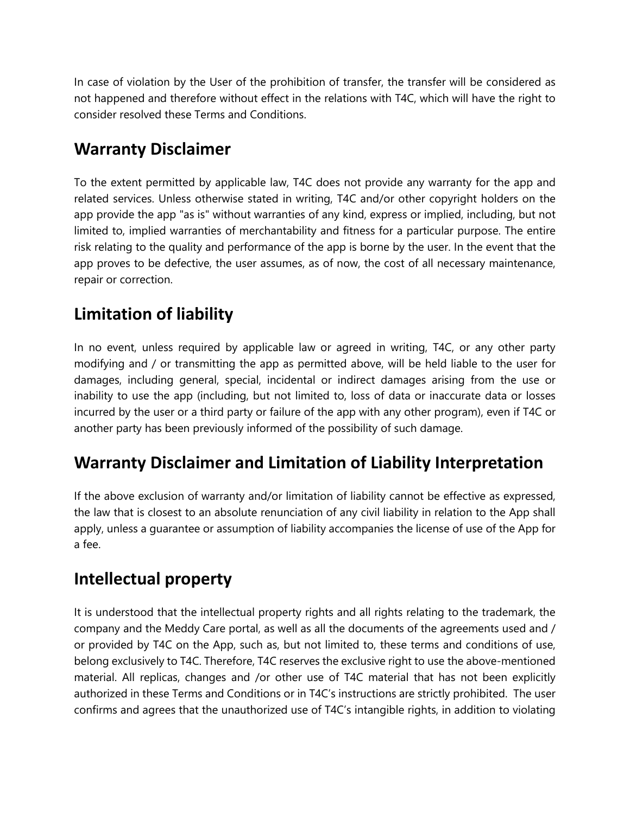In case of violation by the User of the prohibition of transfer, the transfer will be considered as not happened and therefore without effect in the relations with T4C, which will have the right to consider resolved these Terms and Conditions.

## **Warranty Disclaimer**

To the extent permitted by applicable law, T4C does not provide any warranty for the app and related services. Unless otherwise stated in writing, T4C and/or other copyright holders on the app provide the app "as is" without warranties of any kind, express or implied, including, but not limited to, implied warranties of merchantability and fitness for a particular purpose. The entire risk relating to the quality and performance of the app is borne by the user. In the event that the app proves to be defective, the user assumes, as of now, the cost of all necessary maintenance, repair or correction.

## **Limitation of liability**

In no event, unless required by applicable law or agreed in writing, T4C, or any other party modifying and / or transmitting the app as permitted above, will be held liable to the user for damages, including general, special, incidental or indirect damages arising from the use or inability to use the app (including, but not limited to, loss of data or inaccurate data or losses incurred by the user or a third party or failure of the app with any other program), even if T4C or another party has been previously informed of the possibility of such damage.

## **Warranty Disclaimer and Limitation of Liability Interpretation**

If the above exclusion of warranty and/or limitation of liability cannot be effective as expressed, the law that is closest to an absolute renunciation of any civil liability in relation to the App shall apply, unless a guarantee or assumption of liability accompanies the license of use of the App for a fee.

## **Intellectual property**

It is understood that the intellectual property rights and all rights relating to the trademark, the company and the Meddy Care portal, as well as all the documents of the agreements used and / or provided by T4C on the App, such as, but not limited to, these terms and conditions of use, belong exclusively to T4C. Therefore, T4C reserves the exclusive right to use the above-mentioned material. All replicas, changes and /or other use of T4C material that has not been explicitly authorized in these Terms and Conditions or in T4C's instructions are strictly prohibited. The user confirms and agrees that the unauthorized use of T4C's intangible rights, in addition to violating